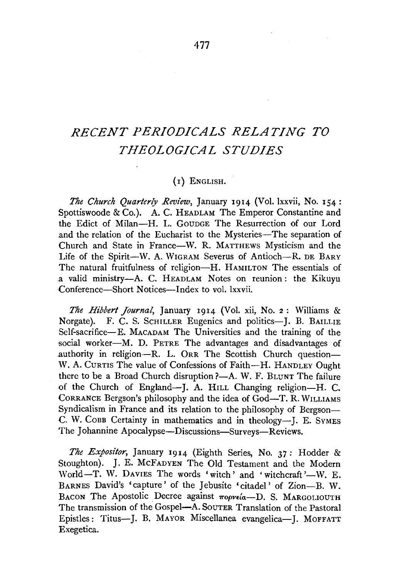# *RECENT PERIODICALS RELATING TO THEOLOGICAL STUDIES*

## (I) ENGLISH.

*The Church Quarterly Review,* January 1914 (Vol. lxxvii, No. 154: Spottiswoode & Co.). A. C. HEADLAM The Emperor Constantine and the Edict of Milan-H. L. GoupGE The Resurrection of our Lord and the relation of the Eucharist to the Mysteries-The separation of Church and State in France-W. R. MATTHEWS Mysticism and the Life of the Spirit-W. A. WIGRAM Severus of Antioch--R. DE BARY The natural fruitfulness of religion-H. HAMILTON The essentials of a valid ministry-A. C. HEADLAM Notes on reunion: the Kikuyu Conference-Short Notices-Index to vol. lxxvii.

*The Hibbert Journal,* January 1914 (Vol. xii, No. 2 : Williams & Norgate). F. C. S. SCHILLER Eugenics and politics-J. B. BAILLIE Self-sacrifice-E. MACADAM The Universities and the training of the social worker-M. D. PETRE The advantages and disadvantages of authority in religion---R. L. ORR The Scottish Church question---W. A. CURTIS The value of Confessions of Faith-H. HANDLEY Ought there to be a Broad Church disruption ?- A. W. F. BLUNT The failure of the Church of England-J. A. HILL Changing religion-H. C. CoRRANCE Bergson's philosophy and the idea of God-T. R. WILLIAMS Syndicalism in France and its relation to the philosophy of Bergson-C. W. CoBB Certainty in mathematics and in theology-J. E. SYMES The Johannine Apocalypse-Discussions-Surveys-Reviews.

*The Expositor,* January 1914 (Eighth Series, No. 37: Hodder & Stoughton). J. E. McFADYEN The Old Testament and the Modern World-T. W. DAVIES The words 'witch' and 'witchcraft'-W. E. BARNES David's 'capture' of the Jebusite 'citadel' of Zion-B. W. BACON The Apostolic Decree against  $\pi$ opveía-D. S. MARGOLIOUTH The transmission of the Gospel-A. SouTER Translation of the Pastoral Epistles: Titus--J. B. MAYOR Miscellanea evangelica-J. MOFFATT Exegetica.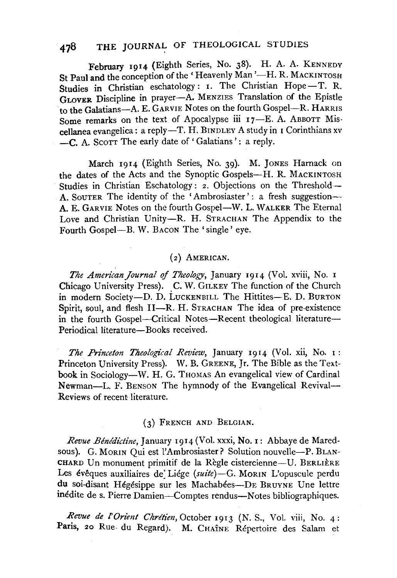# 478 THE JOURNAL OF THEOLOGICAL STUDIES

February 1914 (Eighth Series, No. 38). H. A. A. KENNEDY St Paul and the conception of the 'Heavenly Man'-H. R. MACKINTOSH Studies in Christian eschatology: I. The Christian Hope-T. R. GLOVER Discipline in prayer-A. MENZIES Translation of the Epistle to the Galatians-A. E. GARVIE Notes on the fourth Gospel-R. HARRIS Some remarks on the text of Apocalypse iii 17-E. A. ABBOTT Miscellanea evangelica: a reply-T. H. BINDLEY A study in I Corinthians xv -C. A. SCOTT The early date of 'Galatians': a reply.

March 1914 (Eighth Series, No. 39). M. JONES Harnack on the dates of the Acts and the Synoptic Gospels-H. R. MACKINTOSH Studies in Christian Eschatology: *z*. Objections on the Threshold-A. SoUTER The identity of the 'Ambrosiaster' : a fresh suggestion-~ A. E. GARVIE Notes on the fourth Gospel-W. L. WALKER The Eternal Love and Christian Unity-R. H. STRACHAN The Appendix to the Fourth Gospel--B. W. BACON The 'single' eye.

#### (z) AMERICAN.

*The AmericanJournal of Theology,* January I9I4 (Vol. xviii, No. I Chicago University Press). C. W. GILKEY The function of the Church in modern Society-D. D. LUCKENBILL The Hittites-E. D. BURTON Spirit, soul, and flesh II-R. H. STRACHAN The idea of pre-existence in the fourth Gospel-Critical Notes-Recent theological literature-Periodical literature-Books received.

*The Princeton Theological Review*, January 1914 (Vol. xii, No. 1: Princeton University Press). W. B. GREENE, Jr. The Bible as the Textbook in Sociology-W. H. G. THOMAS An evangelical view of Cardinal Newman-L. F. BENSON The hymnody of the Evangelical Revival-Reviews of recent literature.

#### (3) FRENCH AND BELGIAN.

*Revue Benedictine,* January 1914 (Vol. xxxi, No. I: Abbaye de Maredsous). G. MORIN Qui est l'Ambrosiaster? Solution nouvelle-P. BLAN-CHARD Un monument primitif de la Règle cistercienne-U. BERLIÈRE Les évêques auxiliaires de Liége *(suite)*-G. MORIN L'opuscule perdu du soi-disant Hégésippe sur les Machabées-DE BRUYNE Une lettre inédite de s. Pierre Damien-Comptes rendus-Notes bibliographiques.

Revue de l'Orient Chrétien, October 1913 (N. S., Vol. viii, No. 4: Paris, 20 Rue- du Regard). M. CHAÎNE Répertoire des Salam et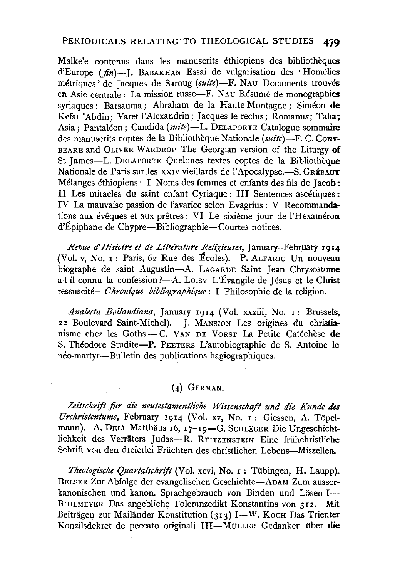Malke'e contenus dans les manuscrits éthiopiens des bibliothèques d'Europe *(fin)-J.* BABAKHAN Essai de vulgarisation des 'Homelies métriques' de Jacques de Saroug (suite)-F. NAU Documents trouvés en Asie centrale: La mission russe-F. NAu Resume de monographies syriaques : Barsauma ; Abraham de la Haute-Montagne ; Siméon de Kefar 'Abdin; Yaret l'Alexandrin; Jacques le reclus; Romanus; Talia; Asia; Pantaléon; Candida (suite)-L. DELAPORTE Catalogue sommaire des manuscrits coptes de la Bibliotheque Nationale *(suite)-*F. C. CoNY-BEARE and OLIVER WARDROP The Georgian version of the Liturgy of St James-L. DELAPORTE Quelques textes coptes de la Bibliothèque Nationale de Paris sur les XXIV vieillards de l'Apocalypse.-S. GRÉBAUT Mélanges éthiopiens : I Noms des femmes et enfants des fils de Jacob: II Les miracles du saint enfant Cyriaque: III Sentences ascetiques: IV La mauvaise passion de !'avarice selon Evagrius : V Recommandations aux évêques et aux prêtres : VI Le sixième jour de l'Hexaméron d'Epiphane de Chypre-Bibliographie-Courtes notices.

*Revue* d' *Histoire et de Lz"ttlrature Religieuses,* January-February 1914 (Vol. v, No. r : Paris, 62 Rue des Ecoles). P. ALFARIC Un nouveau biographe de saint Augustin-A. LAGARDE Saint Jean Chrysostome a-t-il connu la confession ?- A. Lorsy L'Évangile de Jésus et le Christ ressuscité-*Chronique bibliographique* : I Philosophie de la religion.

*Analecta Bollandiana,* January 1914 (Vol. xxxiii, No. 1 : Brussels, 22 Boulevard Saint-Michel). J. MANSION Les origines du christianisme chez les Goths- C. VAN DE VoRST La Petite Catechese de S. Theodore Studite-P. PEETERS L'autobiographie de S. Antoine le neo-martyr-Bulletin des publications hagiographiques.

### (4) GERMAN.

Zeitschrift für die neutestamentliche Wissenschaft und die Kunde des *Urchristentums,* February 1914 (Vol. xv, No. I: Giessen, A. Topelmann). A. DELL Matthäus 16, 17-19-G. SCHLÄGER Die Ungeschichtlichkeit des Verraters Judas-R. REITZENSTEIN Eine friihchristliche Schrift von den dreierlei Früchten des christlichen Lebens-Miszellen.

*Theologi'sche QuartalschnJt* (Vol. xcvi, No. r: Tiibingen, H. Laupp). BELSER Zur Abfolge der evangelischen Geschichte-ADAM Zum ausserkanonischen und kanon. Sprachgebrauch von Binden und Lösen I-BIHLMEYER Das angebliche Toleranzedikt Konstantins von 312. Mit Beiträgen zur Mailänder Konstitution (313) I-W. Koch Das Trienter Konzilsdekret de peccato originali Ill-MULLER Gedanken iiber die